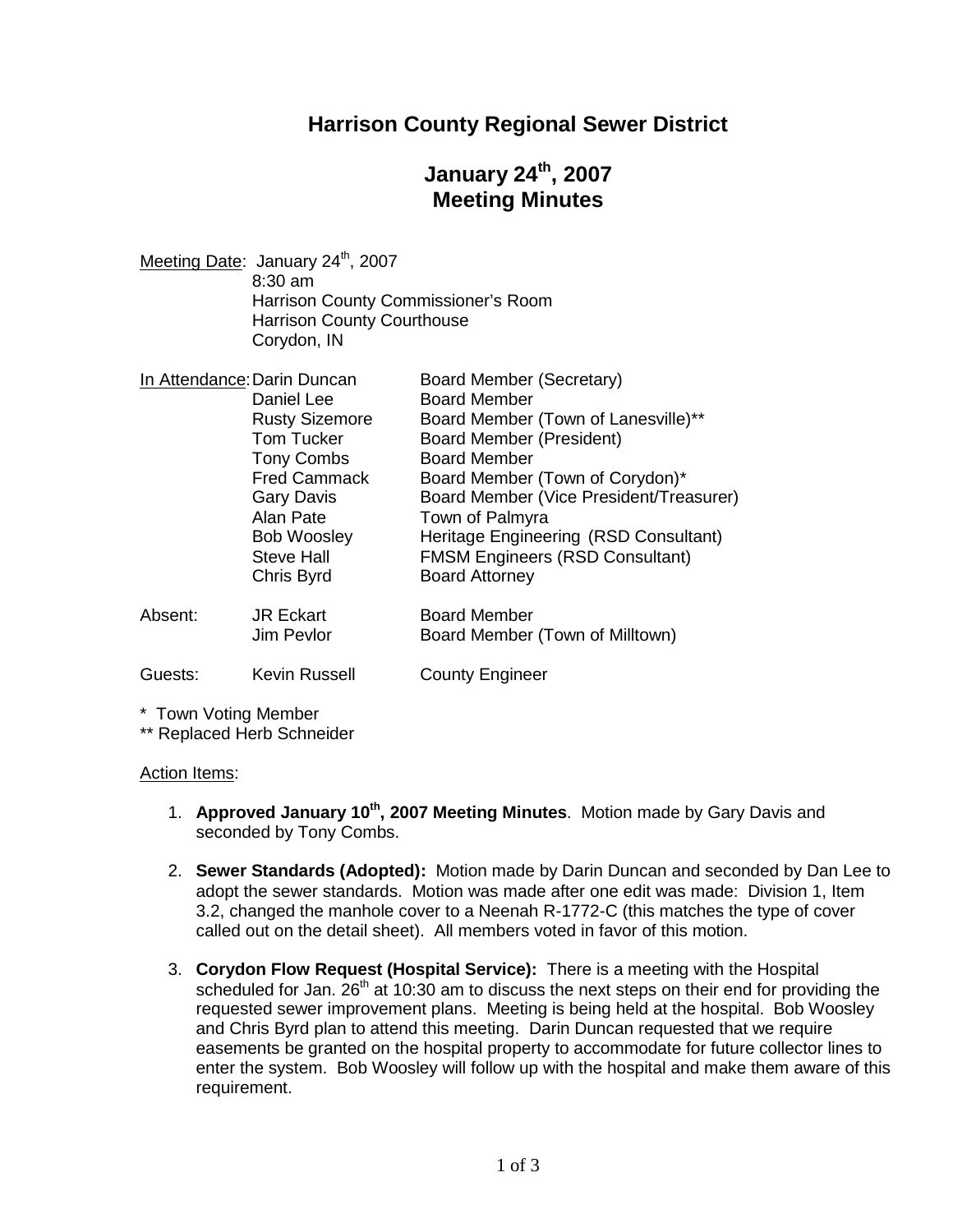### **Harrison County Regional Sewer District**

## **January 24th, 2007 Meeting Minutes**

| Meeting Date: January 24 <sup>th</sup> , 2007 |
|-----------------------------------------------|
| $8:30$ am                                     |
| Harrison County Commissioner's Room           |
| <b>Harrison County Courthouse</b>             |
| Corydon, IN                                   |
|                                               |

| In Attendance: Darin Duncan |                       | Board Member (Secretary)                |
|-----------------------------|-----------------------|-----------------------------------------|
|                             | Daniel Lee            | <b>Board Member</b>                     |
|                             | <b>Rusty Sizemore</b> | Board Member (Town of Lanesville)**     |
|                             | <b>Tom Tucker</b>     | <b>Board Member (President)</b>         |
|                             | <b>Tony Combs</b>     | <b>Board Member</b>                     |
|                             | <b>Fred Cammack</b>   | Board Member (Town of Corydon)*         |
|                             | <b>Gary Davis</b>     | Board Member (Vice President/Treasurer) |
|                             | Alan Pate             | Town of Palmyra                         |
|                             | <b>Bob Woosley</b>    | Heritage Engineering (RSD Consultant)   |
|                             | <b>Steve Hall</b>     | <b>FMSM Engineers (RSD Consultant)</b>  |
|                             | Chris Byrd            | <b>Board Attorney</b>                   |
| Absent:                     | <b>JR Eckart</b>      | <b>Board Member</b>                     |
|                             | Jim Pevlor            | Board Member (Town of Milltown)         |
| Guests:                     | <b>Kevin Russell</b>  | <b>County Engineer</b>                  |

\* Town Voting Member

\*\* Replaced Herb Schneider

#### Action Items:

- 1. **Approved January 10th, 2007 Meeting Minutes**. Motion made by Gary Davis and seconded by Tony Combs.
- 2. **Sewer Standards (Adopted):** Motion made by Darin Duncan and seconded by Dan Lee to adopt the sewer standards. Motion was made after one edit was made: Division 1, Item 3.2, changed the manhole cover to a Neenah R-1772-C (this matches the type of cover called out on the detail sheet). All members voted in favor of this motion.
- 3. **Corydon Flow Request (Hospital Service):** There is a meeting with the Hospital scheduled for Jan.  $26<sup>th</sup>$  at 10:30 am to discuss the next steps on their end for providing the requested sewer improvement plans. Meeting is being held at the hospital. Bob Woosley and Chris Byrd plan to attend this meeting. Darin Duncan requested that we require easements be granted on the hospital property to accommodate for future collector lines to enter the system. Bob Woosley will follow up with the hospital and make them aware of this requirement.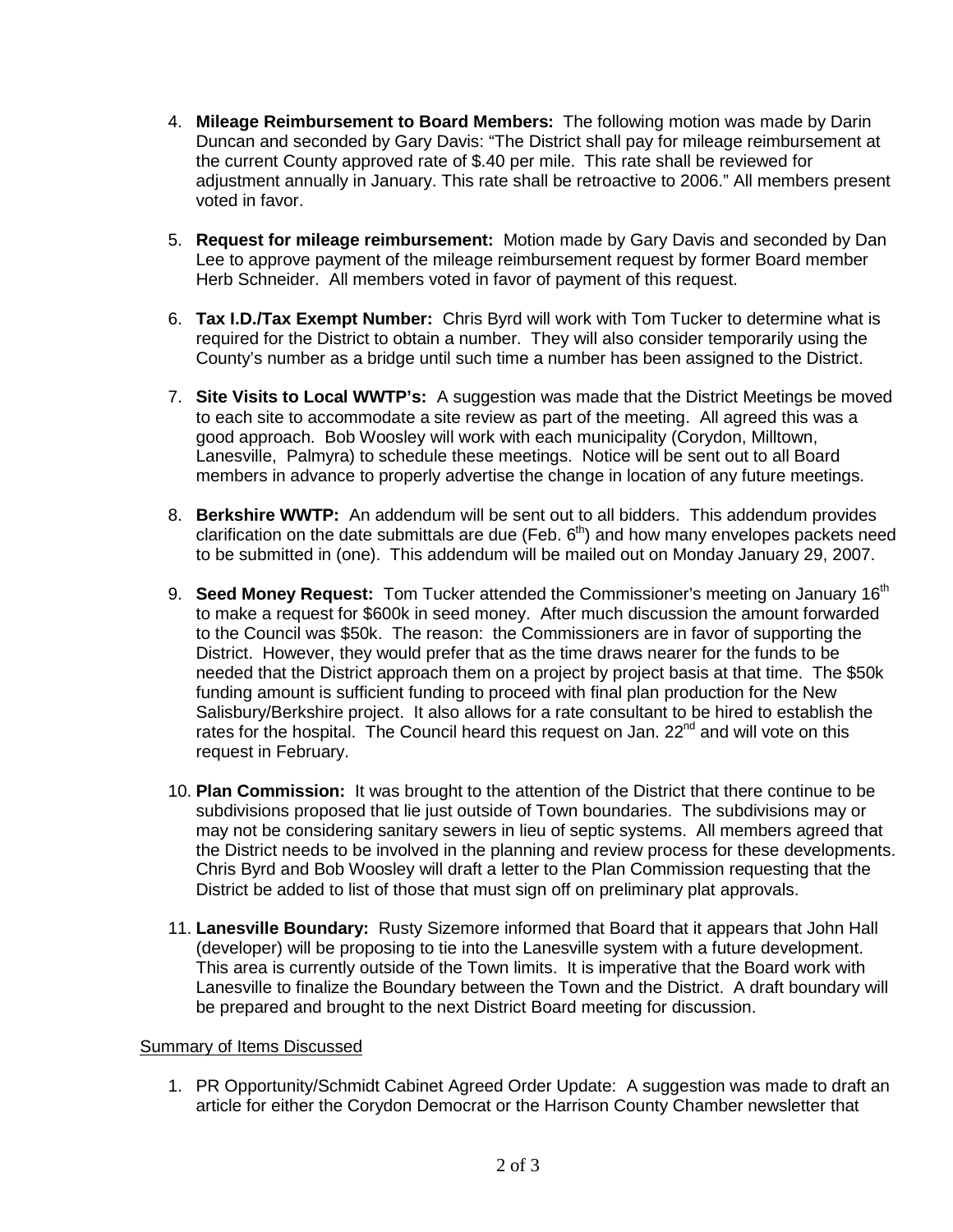- 4. **Mileage Reimbursement to Board Members:** The following motion was made by Darin Duncan and seconded by Gary Davis: "The District shall pay for mileage reimbursement at the current County approved rate of \$.40 per mile. This rate shall be reviewed for adjustment annually in January. This rate shall be retroactive to 2006." All members present voted in favor.
- 5. **Request for mileage reimbursement:** Motion made by Gary Davis and seconded by Dan Lee to approve payment of the mileage reimbursement request by former Board member Herb Schneider. All members voted in favor of payment of this request.
- 6. **Tax I.D./Tax Exempt Number:** Chris Byrd will work with Tom Tucker to determine what is required for the District to obtain a number. They will also consider temporarily using the County's number as a bridge until such time a number has been assigned to the District.
- 7. **Site Visits to Local WWTP's:** A suggestion was made that the District Meetings be moved to each site to accommodate a site review as part of the meeting. All agreed this was a good approach. Bob Woosley will work with each municipality (Corydon, Milltown, Lanesville, Palmyra) to schedule these meetings. Notice will be sent out to all Board members in advance to properly advertise the change in location of any future meetings.
- 8. **Berkshire WWTP:** An addendum will be sent out to all bidders. This addendum provides clarification on the date submittals are due (Feb.  $6<sup>th</sup>$ ) and how many envelopes packets need to be submitted in (one). This addendum will be mailed out on Monday January 29, 2007.
- 9. **Seed Money Request:** Tom Tucker attended the Commissioner's meeting on January 16<sup>th</sup> to make a request for \$600k in seed money. After much discussion the amount forwarded to the Council was \$50k. The reason: the Commissioners are in favor of supporting the District. However, they would prefer that as the time draws nearer for the funds to be needed that the District approach them on a project by project basis at that time. The \$50k funding amount is sufficient funding to proceed with final plan production for the New Salisbury/Berkshire project. It also allows for a rate consultant to be hired to establish the rates for the hospital. The Council heard this request on Jan. 22<sup>nd</sup> and will vote on this request in February.
- 10. **Plan Commission:** It was brought to the attention of the District that there continue to be subdivisions proposed that lie just outside of Town boundaries. The subdivisions may or may not be considering sanitary sewers in lieu of septic systems. All members agreed that the District needs to be involved in the planning and review process for these developments. Chris Byrd and Bob Woosley will draft a letter to the Plan Commission requesting that the District be added to list of those that must sign off on preliminary plat approvals.
- 11. **Lanesville Boundary:** Rusty Sizemore informed that Board that it appears that John Hall (developer) will be proposing to tie into the Lanesville system with a future development. This area is currently outside of the Town limits. It is imperative that the Board work with Lanesville to finalize the Boundary between the Town and the District. A draft boundary will be prepared and brought to the next District Board meeting for discussion.

#### Summary of Items Discussed

1. PR Opportunity/Schmidt Cabinet Agreed Order Update: A suggestion was made to draft an article for either the Corydon Democrat or the Harrison County Chamber newsletter that